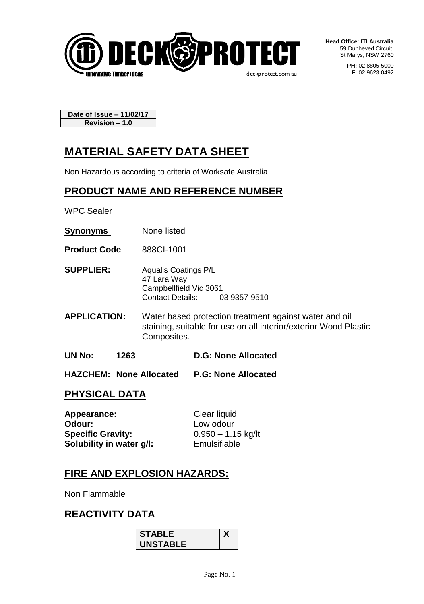

**Head Office: ITI Australia** 59 Dunheved Circuit, St Marys, NSW 2760

> **PH:** 02 8805 5000 **F:** 02 9623 0492

**Date of Issue – 11/02/17 Revision – 1.0**

# **MATERIAL SAFETY DATA SHEET**

Non Hazardous according to criteria of Worksafe Australia

## **PRODUCT NAME AND REFERENCE NUMBER**

WPC Sealer

- **Synonyms** None listed
- **Product Code** 888CI-1001
- **SUPPLIER:** Aqualis Coatings P/L 47 Lara Way Campbellfield Vic 3061 Contact Details: 03 9357-9510
- **APPLICATION:** Water based protection treatment against water and oil staining, suitable for use on all interior/exterior Wood Plastic Composites.
- **UN No: 1263 D.G: None Allocated**
- **HAZCHEM: None Allocated P.G: None Allocated**

## **PHYSICAL DATA**

| Appearance:              | Clear liquid         |
|--------------------------|----------------------|
| Odour:                   | Low odour            |
| <b>Specific Gravity:</b> | $0.950 - 1.15$ kg/lt |
| Solubility in water g/l: | Emulsifiable         |

## **FIRE AND EXPLOSION HAZARDS:**

Non Flammable

## **REACTIVITY DATA**

| <b>STABLE</b>   |  |
|-----------------|--|
| <b>INSTABLE</b> |  |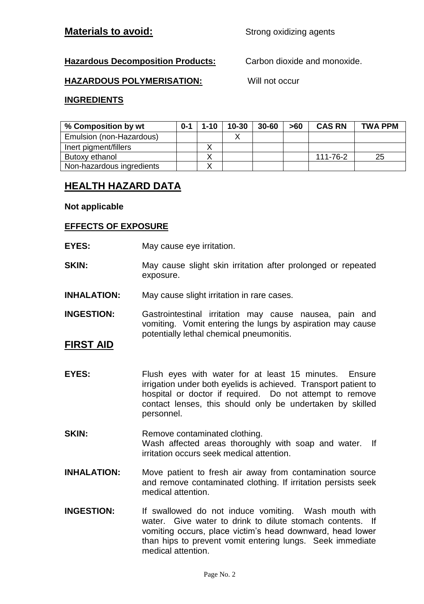## **Materials to avoid:** Strong oxidizing agents

#### **Hazardous Decomposition Products:** Carbon dioxide and monoxide.

#### **HAZARDOUS POLYMERISATION:** Will not occur

#### **INGREDIENTS**

| % Composition by wt       | $0 - 1$ | $1 - 10$ | $10 - 30$ | $30 - 60$ | >60 | <b>CAS RN</b> | <b>TWA PPM</b> |
|---------------------------|---------|----------|-----------|-----------|-----|---------------|----------------|
| Emulsion (non-Hazardous)  |         |          |           |           |     |               |                |
| Inert pigment/fillers     |         |          |           |           |     |               |                |
| Butoxy ethanol            |         |          |           |           |     | 111-76-2      | 25             |
| Non-hazardous ingredients |         |          |           |           |     |               |                |

## **HEALTH HAZARD DATA**

#### **Not applicable**

#### **EFFECTS OF EXPOSURE**

- **EYES:** May cause eye irritation.
- **SKIN:** May cause slight skin irritation after prolonged or repeated exposure.
- **INHALATION:** May cause slight irritation in rare cases.

**INGESTION:** Gastrointestinal irritation may cause nausea, pain and vomiting. Vomit entering the lungs by aspiration may cause potentially lethal chemical pneumonitis.

#### **FIRST AID**

- **EYES:** Flush eyes with water for at least 15 minutes. Ensure irrigation under both eyelids is achieved. Transport patient to hospital or doctor if required. Do not attempt to remove contact lenses, this should only be undertaken by skilled personnel.
- **SKIN:** Remove contaminated clothing. Wash affected areas thoroughly with soap and water. If irritation occurs seek medical attention.
- **INHALATION:** Move patient to fresh air away from contamination source and remove contaminated clothing. If irritation persists seek medical attention.
- **INGESTION:** If swallowed do not induce vomiting. Wash mouth with water. Give water to drink to dilute stomach contents. If vomiting occurs, place victim's head downward, head lower than hips to prevent vomit entering lungs. Seek immediate medical attention.